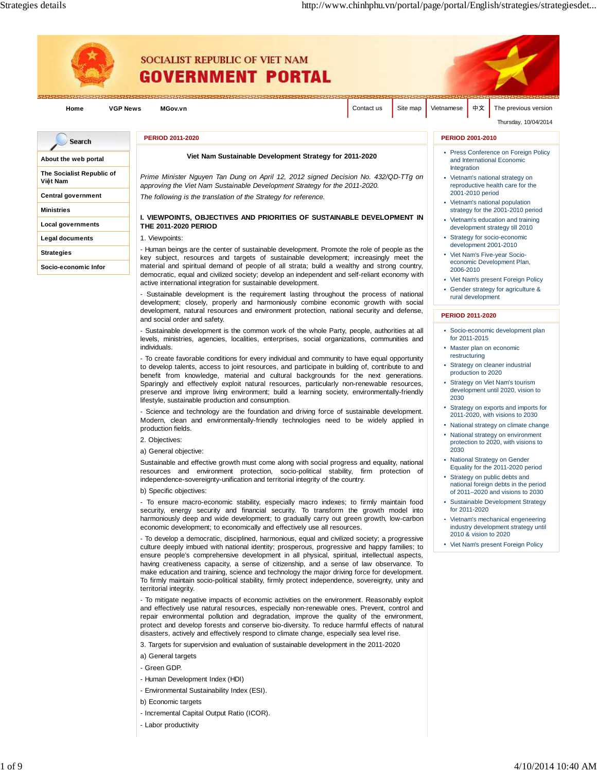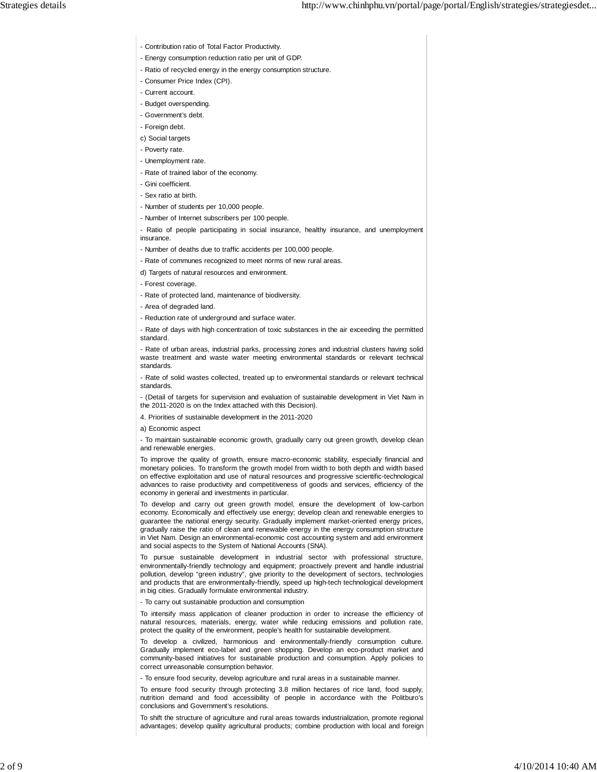- Contribution ratio of Total Factor Productivity.
- Energy consumption reduction ratio per unit of GDP.
- Ratio of recycled energy in the energy consumption structure.
- Consumer Price Index (CPI).
- Current account.
- Budget overspending.
- Government's debt.
- Foreign debt.
- c) Social targets
- Poverty rate.
- Unemployment rate.
- Rate of trained labor of the economy.
- Gini coefficient.
- Sex ratio at birth.
- Number of students per 10,000 people.
- Number of Internet subscribers per 100 people.
- Ratio of people participating in social insurance, healthy insurance, and unemployment insurance.
- Number of deaths due to traffic accidents per 100,000 people.
- Rate of communes recognized to meet norms of new rural areas.
- d) Targets of natural resources and environment.
- Forest coverage.
- Rate of protected land, maintenance of biodiversity.
- Area of degraded land.
- Reduction rate of underground and surface water.
- Rate of days with high concentration of toxic substances in the air exceeding the permitted standard.
- Rate of urban areas, industrial parks, processing zones and industrial clusters having solid waste treatment and waste water meeting environmental standards or relevant technical standards.
- Rate of solid wastes collected, treated up to environmental standards or relevant technical standards.
- (Detail of targets for supervision and evaluation of sustainable development in Viet Nam in the 2011-2020 is on the Index attached with this Decision).
- 4. Priorities of sustainable development in the 2011-2020
- a) Economic aspect
- To maintain sustainable economic growth, gradually carry out green growth, develop clean and renewable energies.
- To improve the quality of growth, ensure macro-economic stability, especially financial and monetary policies. To transform the growth model from width to both depth and width based on effective exploitation and use of natural resources and progressive scientific-technological advances to raise productivity and competitiveness of goods and services, efficiency of the economy in general and investments in particular.
- To develop and carry out green growth model, ensure the development of low-carbon economy. Economically and effectively use energy; develop clean and renewable energies to guarantee the national energy security. Gradually implement market-oriented energy prices, gradually raise the ratio of clean and renewable energy in the energy consumption structure in Viet Nam. Design an environmental-economic cost accounting system and add environment and social aspects to the System of National Accounts (SNA).
- To pursue sustainable development in industrial sector with professional structure, environmentally-friendly technology and equipment; proactively prevent and handle industrial pollution, develop "green industry", give priority to the development of sectors, technologies and products that are environmentally-friendly, speed up high-tech technological development in big cities. Gradually formulate environmental industry.
- To carry out sustainable production and consumption
- To intensify mass application of cleaner production in order to increase the efficiency of natural resources, materials, energy, water while reducing emissions and pollution rate, protect the quality of the environment, people's health for sustainable development.
- To develop a civilized, harmonious and environmentally-friendly consumption culture. Gradually implement eco-label and green shopping. Develop an eco-product market and community-based initiatives for sustainable production and consumption. Apply policies to correct unreasonable consumption behavior.
- To ensure food security, develop agriculture and rural areas in a sustainable manner.
- To ensure food security through protecting 3.8 million hectares of rice land, food supply, nutrition demand and food accessibility of people in accordance with the Politburo's conclusions and Government's resolutions.
- To shift the structure of agriculture and rural areas towards industrialization, promote regional advantages; develop quality agricultural products; combine production with local and foreign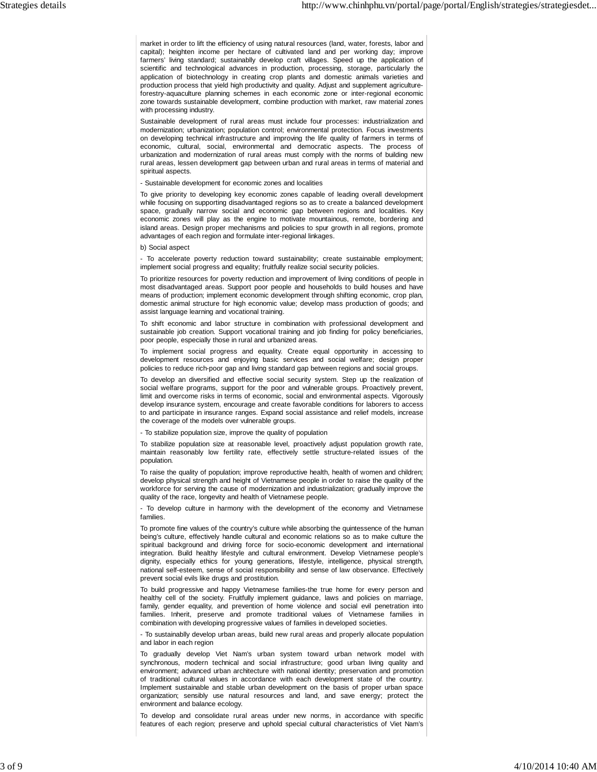market in order to lift the efficiency of using natural resources (land, water, forests, labor and capital); heighten income per hectare of cultivated land and per working day; improve farmers' living standard; sustainablly develop craft villages. Speed up the application of scientific and technological advances in production, processing, storage, particularly the application of biotechnology in creating crop plants and domestic animals varieties and production process that yield high productivity and quality. Adjust and supplement agricultureforestry-aquaculture planning schemes in each economic zone or inter-regional economic zone towards sustainable development, combine production with market, raw material zones with processing industry.

Sustainable development of rural areas must include four processes: industrialization and modernization; urbanization; population control; environmental protection. Focus investments on developing technical infrastructure and improving the life quality of farmers in terms of economic, cultural, social, environmental and democratic aspects. The process of urbanization and modernization of rural areas must comply with the norms of building new rural areas, lessen development gap between urban and rural areas in terms of material and spiritual aspects.

- Sustainable development for economic zones and localities

To give priority to developing key economic zones capable of leading overall development while focusing on supporting disadvantaged regions so as to create a balanced development space, gradually narrow social and economic gap between regions and localities. Key economic zones will play as the engine to motivate mountainous, remote, bordering and island areas. Design proper mechanisms and policies to spur growth in all regions, promote advantages of each region and formulate inter-regional linkages.

b) Social aspect

- To accelerate poverty reduction toward sustainability; create sustainable employment; implement social progress and equality; fruitfully realize social security policies.

To prioritize resources for poverty reduction and improvement of living conditions of people in most disadvantaged areas. Support poor people and households to build houses and have means of production; implement economic development through shifting economic, crop plan, domestic animal structure for high economic value; develop mass production of goods; and assist language learning and vocational training.

To shift economic and labor structure in combination with professional development and sustainable job creation. Support vocational training and job finding for policy beneficiaries, poor people, especially those in rural and urbanized areas.

To implement social progress and equality. Create equal opportunity in accessing to development resources and enjoying basic services and social welfare; design proper policies to reduce rich-poor gap and living standard gap between regions and social groups.

To develop an diversified and effective social security system. Step up the realization of social welfare programs, support for the poor and vulnerable groups. Proactively prevent, limit and overcome risks in terms of economic, social and environmental aspects. Vigorously develop insurance system, encourage and create favorable conditions for laborers to access to and participate in insurance ranges. Expand social assistance and relief models, increase the coverage of the models over vulnerable groups.

- To stabilize population size, improve the quality of population

To stabilize population size at reasonable level, proactively adjust population growth rate, maintain reasonably low fertility rate, effectively settle structure-related issues of the population.

To raise the quality of population; improve reproductive health, health of women and children; develop physical strength and height of Vietnamese people in order to raise the quality of the workforce for serving the cause of modernization and industrialization; gradually improve the quality of the race, longevity and health of Vietnamese people.

- To develop culture in harmony with the development of the economy and Vietnamese families.

To promote fine values of the country's culture while absorbing the quintessence of the human being's culture, effectively handle cultural and economic relations so as to make culture the spiritual background and driving force for socio-economic development and international integration. Build healthy lifestyle and cultural environment. Develop Vietnamese people's dignity, especially ethics for young generations, lifestyle, intelligence, physical strength, national self-esteem, sense of social responsibility and sense of law observance. Effectively prevent social evils like drugs and prostitution.

To build progressive and happy Vietnamese families-the true home for every person and healthy cell of the society. Fruitfully implement guidance, laws and policies on marriage, family, gender equality, and prevention of home violence and social evil penetration into families. Inherit, preserve and promote traditional values of Vietnamese families in combination with developing progressive values of families in developed societies.

- To sustainablly develop urban areas, build new rural areas and properly allocate population and labor in each region

To gradually develop Viet Nam's urban system toward urban network model with synchronous, modern technical and social infrastructure; good urban living quality and environment; advanced urban architecture with national identity; preservation and promotion of traditional cultural values in accordance with each development state of the country. Implement sustainable and stable urban development on the basis of proper urban space organization; sensibly use natural resources and land, and save energy; protect the environment and balance ecology.

To develop and consolidate rural areas under new norms, in accordance with specific features of each region; preserve and uphold special cultural characteristics of Viet Nam's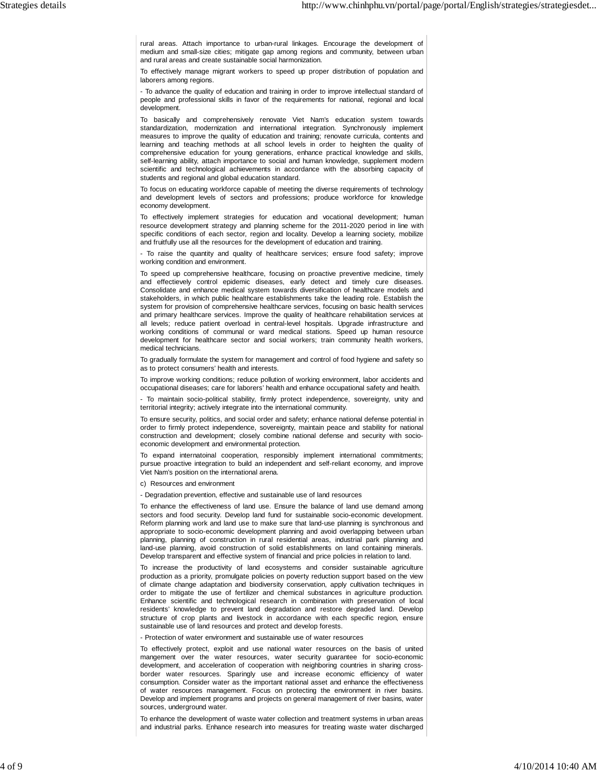rural areas. Attach importance to urban-rural linkages. Encourage the development of medium and small-size cities; mitigate gap among regions and community, between urban and rural areas and create sustainable social harmonization.

To effectively manage migrant workers to speed up proper distribution of population and laborers among regions.

- To advance the quality of education and training in order to improve intellectual standard of people and professional skills in favor of the requirements for national, regional and local development.

To basically and comprehensively renovate Viet Nam's education system towards standardization, modernization and international integration. Synchronously implement measures to improve the quality of education and training; renovate curricula, contents and learning and teaching methods at all school levels in order to heighten the quality of comprehensive education for young generations, enhance practical knowledge and skills, self-learning ability, attach importance to social and human knowledge, supplement modern scientific and technological achievements in accordance with the absorbing capacity of students and regional and global education standard.

To focus on educating workforce capable of meeting the diverse requirements of technology and development levels of sectors and professions; produce workforce for knowledge economy development.

To effectively implement strategies for education and vocational development; human resource development strategy and planning scheme for the 2011-2020 period in line with specific conditions of each sector, region and locality. Develop a learning society, mobilize and fruitfully use all the resources for the development of education and training.

- To raise the quantity and quality of healthcare services; ensure food safety; improve working condition and environment.

To speed up comprehensive healthcare, focusing on proactive preventive medicine, timely and effectievely control epidemic diseases, early detect and timely cure diseases. Consolidate and enhance medical system towards diversification of healthcare models and stakeholders, in which public healthcare establishments take the leading role. Establish the system for provision of comprehensive healthcare services, focusing on basic health services and primary healthcare services. Improve the quality of healthcare rehabilitation services at all levels; reduce patient overload in central-level hospitals. Upgrade infrastructure and working conditions of communal or ward medical stations. Speed up human resource development for healthcare sector and social workers; train community health workers, medical technicians.

To gradually formulate the system for management and control of food hygiene and safety so as to protect consumers' health and interests.

To improve working conditions; reduce pollution of working environment, labor accidents and occupational diseases; care for laborers' health and enhance occupational safety and health.

- To maintain socio-political stability, firmly protect independence, sovereignty, unity and territorial integrity; actively integrate into the international community.

To ensure security, politics, and social order and safety; enhance national defense potential in order to firmly protect independence, sovereignty, maintain peace and stability for national construction and development; closely combine national defense and security with socioeconomic development and environmental protection.

To expand internatoinal cooperation, responsibly implement international commitments; pursue proactive integration to build an independent and self-reliant economy, and improve Viet Nam's position on the international arena.

c) Resources and environment

- Degradation prevention, effective and sustainable use of land resources

To enhance the effectiveness of land use. Ensure the balance of land use demand among sectors and food security. Develop land fund for sustainable socio-economic development. Reform planning work and land use to make sure that land-use planning is synchronous and appropriate to socio-economic development planning and avoid overlapping between urban planning, planning of construction in rural residential areas, industrial park planning and land-use planning, avoid construction of solid establishments on land containing minerals. Develop transparent and effective system of financial and price policies in relation to land.

To increase the productivity of land ecosystems and consider sustainable agriculture production as a priority, promulgate policies on poverty reduction support based on the view of climate change adaptation and biodiversity conservation, apply cultivation techniques in order to mitigate the use of fertilizer and chemical substances in agriculture production. Enhance scientific and technological research in combination with preservation of local residents' knowledge to prevent land degradation and restore degraded land. Develop structure of crop plants and livestock in accordance with each specific region, ensure sustainable use of land resources and protect and develop forests.

- Protection of water environment and sustainable use of water resources

To effectively protect, exploit and use national water resources on the basis of united mangement over the water resources, water security guarantee for socio-economic development, and acceleration of cooperation with neighboring countries in sharing crossborder water resources. Sparingly use and increase economic efficiency of water consumption. Consider water as the important national asset and enhance the effectiveness of water resources management. Focus on protecting the environment in river basins. Develop and implement programs and projects on general management of river basins, water sources, underground water.

To enhance the development of waste water collection and treatment systems in urban areas and industrial parks. Enhance research into measures for treating waste water discharged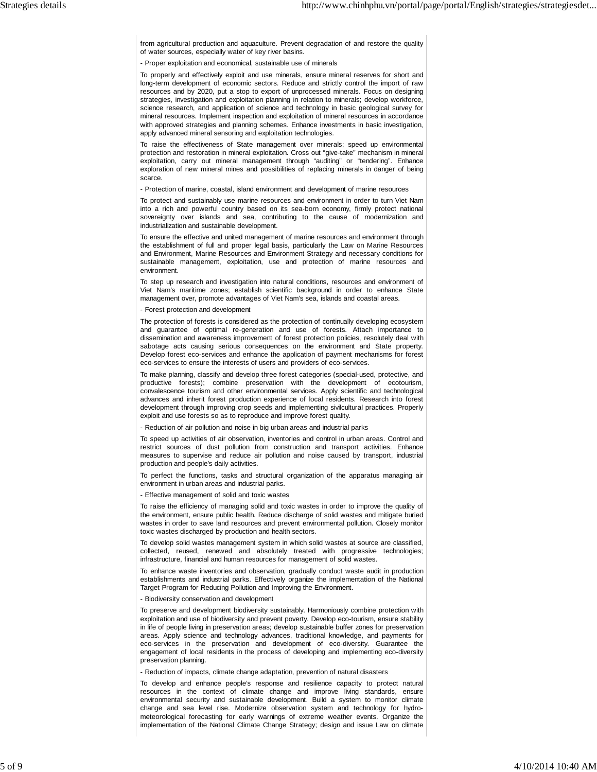from agricultural production and aquaculture. Prevent degradation of and restore the quality of water sources, especially water of key river basins.

- Proper exploitation and economical, sustainable use of minerals

To properly and effectively exploit and use minerals, ensure mineral reserves for short and long-term development of economic sectors. Reduce and strictly control the import of raw resources and by 2020, put a stop to export of unprocessed minerals. Focus on designing strategies, investigation and exploitation planning in relation to minerals; develop workforce, science research, and application of science and technology in basic geological survey for mineral resources. Implement inspection and exploitation of mineral resources in accordance with approved strategies and planning schemes. Enhance investments in basic investigation, apply advanced mineral sensoring and exploitation technologies.

To raise the effectiveness of State management over minerals; speed up environmental protection and restoration in mineral exploitation. Cross out "give-take" mechanism in mineral exploitation, carry out mineral management through "auditing" or "tendering". Enhance exploration of new mineral mines and possibilities of replacing minerals in danger of being scarce.

- Protection of marine, coastal, island environment and development of marine resources

To protect and sustainably use marine resources and environment in order to turn Viet Nam into a rich and powerful country based on its sea-born economy, firmly protect national sovereignty over islands and sea, contributing to the cause of modernization and industrialization and sustainable development.

To ensure the effective and united management of marine resources and environment through the establishment of full and proper legal basis, particularly the Law on Marine Resources and Environment, Marine Resources and Environment Strategy and necessary conditions for sustainable management, exploitation, use and protection of marine resources and environment.

To step up research and investigation into natural conditions, resources and environment of Viet Nam's maritime zones; establish scientific background in order to enhance State management over, promote advantages of Viet Nam's sea, islands and coastal areas.

- Forest protection and development

The protection of forests is considered as the protection of continually developing ecosystem and guarantee of optimal re-generation and use of forests. Attach importance to dissemination and awareness improvement of forest protection policies, resolutely deal with sabotage acts causing serious consequences on the environment and State property. Develop forest eco-services and enhance the application of payment mechanisms for forest eco-services to ensure the interests of users and providers of eco-services.

To make planning, classify and develop three forest categories (special-used, protective, and productive forests); combine preservation with the development of ecotourism, convalescence tourism and other environmental services. Apply scientific and technological advances and inherit forest production experience of local residents. Research into forest development through improving crop seeds and implementing sivilcultural practices. Properly exploit and use forests so as to reproduce and improve forest quality.

- Reduction of air pollution and noise in big urban areas and industrial parks

To speed up activities of air observation, inventories and control in urban areas. Control and restrict sources of dust pollution from construction and transport activities. Enhance measures to supervise and reduce air pollution and noise caused by transport, industrial production and people's daily activities.

To perfect the functions, tasks and structural organization of the apparatus managing air environment in urban areas and industrial parks.

- Effective management of solid and toxic wastes

To raise the efficiency of managing solid and toxic wastes in order to improve the quality of the environment, ensure public health. Reduce discharge of solid wastes and mitigate buried wastes in order to save land resources and prevent environmental pollution. Closely monitor toxic wastes discharged by production and health sectors.

To develop solid wastes management system in which solid wastes at source are classified, collected, reused, renewed and absolutely treated with progressive technologies; infrastructure, financial and human resources for management of solid wastes.

To enhance waste inventories and observation, gradually conduct waste audit in production establishments and industrial parks. Effectively organize the implementation of the National Target Program for Reducing Pollution and Improving the Environment.

- Biodiversity conservation and development

To preserve and development biodiversity sustainably. Harmoniously combine protection with exploitation and use of biodiversity and prevent poverty. Develop eco-tourism, ensure stability in life of people living in preservation areas; develop sustainable buffer zones for preservation areas. Apply science and technology advances, traditional knowledge, and payments for eco-services in the preservation and development of eco-diversity. Guarantee the engagement of local residents in the process of developing and implementing eco-diversity preservation planning.

- Reduction of impacts, climate change adaptation, prevention of natural disasters

To develop and enhance people's response and resilience capacity to protect natural resources in the context of climate change and improve living standards, ensure environmental security and sustainable development. Build a system to monitor climate change and sea level rise. Modernize observation system and technology for hydrometeorological forecasting for early warnings of extreme weather events. Organize the implementation of the National Climate Change Strategy; design and issue Law on climate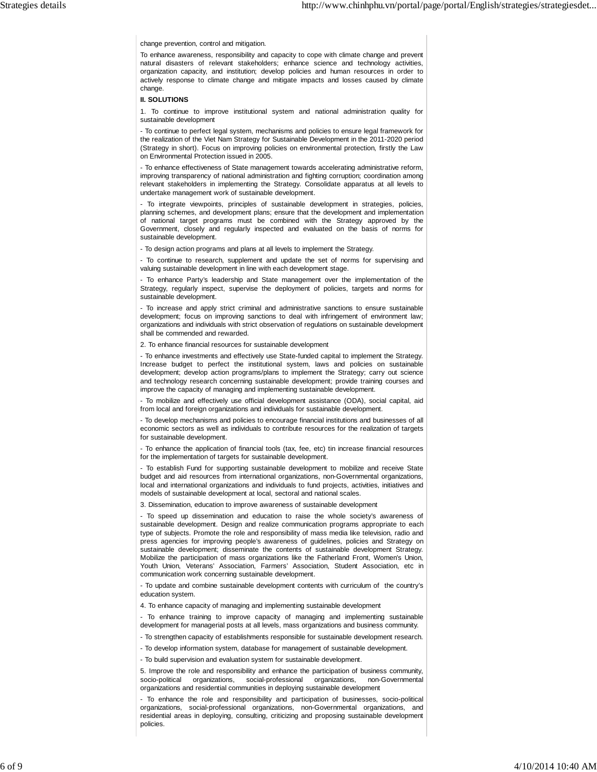change prevention, control and mitigation.

To enhance awareness, responsibility and capacity to cope with climate change and prevent natural disasters of relevant stakeholders; enhance science and technology activities, organization capacity, and institution; develop policies and human resources in order to actively response to climate change and mitigate impacts and losses caused by climate change.

## **II. SOLUTIONS**

1. To continue to improve institutional system and national administration quality for sustainable development

- To continue to perfect legal system, mechanisms and policies to ensure legal framework for the realization of the Viet Nam Strategy for Sustainable Development in the 2011-2020 period (Strategy in short). Focus on improving policies on environmental protection, firstly the Law on Environmental Protection issued in 2005.

- To enhance effectiveness of State management towards accelerating administrative reform, improving transparency of national administration and fighting corruption; coordination among relevant stakeholders in implementing the Strategy. Consolidate apparatus at all levels to undertake management work of sustainable development.

- To integrate viewpoints, principles of sustainable development in strategies, policies, planning schemes, and development plans; ensure that the development and implementation of national target programs must be combined with the Strategy approved by the Government, closely and regularly inspected and evaluated on the basis of norms for sustainable development.

- To design action programs and plans at all levels to implement the Strategy.

- To continue to research, supplement and update the set of norms for supervising and valuing sustainable development in line with each development stage.

- To enhance Party's leadership and State management over the implementation of the Strategy, regularly inspect, supervise the deployment of policies, targets and norms for sustainable development.

To increase and apply strict criminal and administrative sanctions to ensure sustainable development; focus on improving sanctions to deal with infringement of environment law; organizations and individuals with strict observation of regulations on sustainable development shall be commended and rewarded.

2. To enhance financial resources for sustainable development

- To enhance investments and effectively use State-funded capital to implement the Strategy. Increase budget to perfect the institutional system, laws and policies on sustainable development; develop action programs/plans to implement the Strategy; carry out science and technology research concerning sustainable development; provide training courses and improve the capacity of managing and implementing sustainable development.

- To mobilize and effectively use official development assistance (ODA), social capital, aid from local and foreign organizations and individuals for sustainable development.

- To develop mechanisms and policies to encourage financial institutions and businesses of all economic sectors as well as individuals to contribute resources for the realization of targets for sustainable development.

- To enhance the application of financial tools (tax, fee, etc) tin increase financial resources for the implementation of targets for sustainable development.

- To establish Fund for supporting sustainable development to mobilize and receive State budget and aid resources from international organizations, non-Governmental organizations, local and international organizations and individuals to fund projects, activities, initiatives and models of sustainable development at local, sectoral and national scales.

3. Dissemination, education to improve awareness of sustainable development

- To speed up dissemination and education to raise the whole society's awareness of sustainable development. Design and realize communication programs appropriate to each type of subjects. Promote the role and responsibility of mass media like television, radio and press agencies for improving people's awareness of guidelines, policies and Strategy on sustainable development; disseminate the contents of sustainable development Strategy. Mobilize the participation of mass organizations like the Fatherland Front, Women's Union, Youth Union, Veterans' Association, Farmers' Association, Student Association, etc in communication work concerning sustainable development.

- To update and combine sustainable development contents with curriculum of the country's education system.

4. To enhance capacity of managing and implementing sustainable development

- To enhance training to improve capacity of managing and implementing sustainable development for managerial posts at all levels, mass organizations and business community.

- To strengthen capacity of establishments responsible for sustainable development research.

- To develop information system, database for management of sustainable development.

- To build supervision and evaluation system for sustainable development.

5. Improve the role and responsibility and enhance the participation of business community, socio-political organizations, social-professional organizations, non-Governmental organizations and residential communities in deploying sustainable development

To enhance the role and responsibility and participation of businesses, socio-political organizations, social-professional organizations, non-Governmental organizations, and residential areas in deploying, consulting, criticizing and proposing sustainable development policies.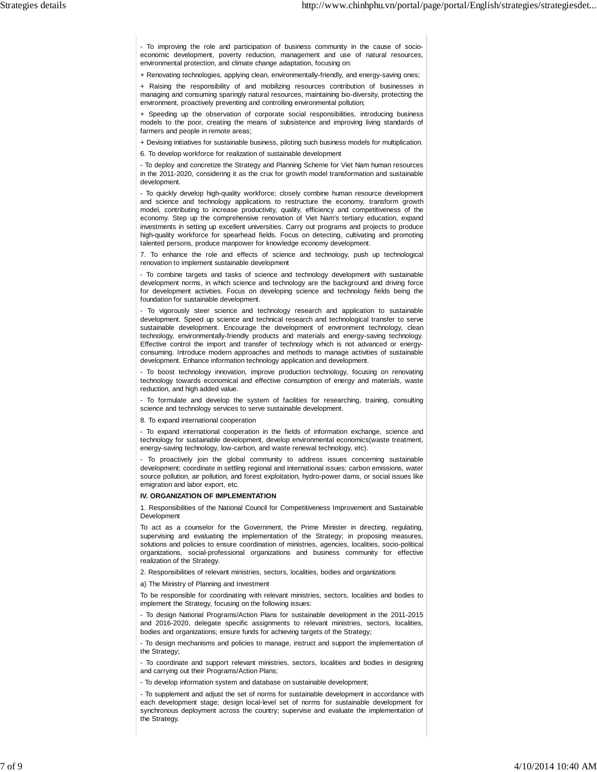- To improving the role and participation of business community in the cause of socioeconomic development, poverty reduction, management and use of natural resources, environmental protection, and climate change adaptation, focusing on:

+ Renovating technologies, applying clean, environmentally-friendly, and energy-saving ones;

+ Raising the responsibility of and mobilizing resources contribution of businesses in managing and consuming sparingly natural resources, maintaining bio-diversity, protecting the environment, proactively preventing and controlling environmental pollution;

+ Speeding up the observation of corporate social responsibilities, introducing business models to the poor, creating the means of subsistence and improving living standards of farmers and people in remote areas;

+ Devising initiatives for sustainable business, piloting such business models for multiplication.

6. To develop workforce for realization of sustainable development

- To deploy and concretize the Strategy and Planning Scheme for Viet Nam human resources in the 2011-2020, considering it as the crux for growth model transformation and sustainable development.

- To quickly develop high-quality workforce; closely combine human resource development and science and technology applications to restructure the economy, transform growth model, contributing to increase productivity, quality, efficiency and competitiveness of the economy. Step up the comprehensive renovation of Viet Nam's tertiary education, expand investments in setting up excellent universities. Carry out programs and projects to produce high-quality workforce for spearhead fields. Focus on detecting, cultivating and promoting talented persons, produce manpower for knowledge economy development.

7. To enhance the role and effects of science and technology, push up technological renovation to implement sustainable development

- To combine targets and tasks of science and technology development with sustainable development norms, in which science and technology are the background and driving force for development activities. Focus on developing science and technology fields being the foundation for sustainable development.

- To vigorously steer science and technology research and application to sustainable development. Speed up science and technical research and technological transfer to serve sustainable development. Encourage the development of environment technology, clean technology, environmentally-friendly products and materials and energy-saving technology. Effective control the import and transfer of technology which is not advanced or energyconsuming. Introduce modern approaches and methods to manage activities of sustainable development. Enhance information technology application and development.

- To boost technology innovation, improve production technology, focusing on renovating technology towards economical and effective consumption of energy and materials, waste reduction, and high added value.

- To formulate and develop the system of facilities for researching, training, consulting science and technology services to serve sustainable development.

8. To expand international cooperation

- To expand international cooperation in the fields of information exchange, science and technology for sustainable development, develop environmental economics(waste treatment, energy-saving technology, low-carbon, and waste renewal technology, etc).

- To proactively join the global community to address issues concerning sustainable development; coordinate in settling regional and international issues: carbon emissions, water source pollution, air pollution, and forest exploitation, hydro-power dams, or social issues like emigration and labor export, etc.

## **IV. ORGANIZATION OF IMPLEMENTATION**

1. Responsibilities of the National Council for Competitiveness Improvement and Sustainable Development

To act as a counselor for the Government, the Prime Minister in directing, regulating, supervising and evaluating the implementation of the Strategy; in proposing measures, solutions and policies to ensure coordination of ministries, agencies, localities, socio-political organizations, social-professional organizations and business community for effective realization of the Strategy.

2. Responsibilities of relevant ministries, sectors, localities, bodies and organizations

a) The Ministry of Planning and Investment

To be responsible for coordinating with relevant ministries, sectors, localities and bodies to implement the Strategy, focusing on the following issues:

- To design National Programs/Action Plans for sustainable development in the 2011-2015 and 2016-2020, delegate specific assignments to relevant ministries, sectors, localities, bodies and organizations; ensure funds for achieving targets of the Strategy;

- To design mechanisms and policies to manage, instruct and support the implementation of the Strategy

- To coordinate and support relevant ministries, sectors, localities and bodies in designing and carrying out their Programs/Action Plans;

- To develop information system and database on sustainable development;

- To supplement and adjust the set of norms for sustainable development in accordance with each development stage; design local-level set of norms for sustainable development for synchronous deployment across the country; supervise and evaluate the implementation of the Strategy.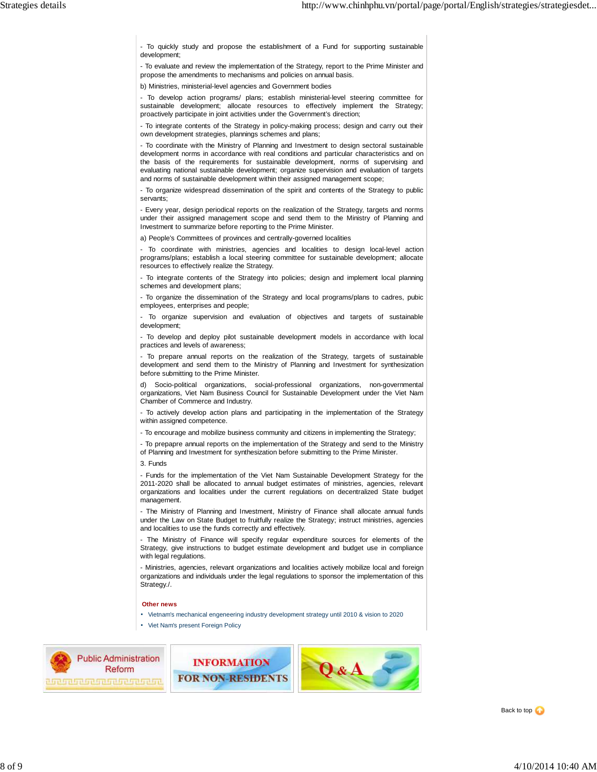- To quickly study and propose the establishment of a Fund for supporting sustainable development;

- To evaluate and review the implementation of the Strategy, report to the Prime Minister and propose the amendments to mechanisms and policies on annual basis.

b) Ministries, ministerial-level agencies and Government bodies

- To develop action programs/ plans; establish ministerial-level steering committee for sustainable development; allocate resources to effectively implement the Strategy; proactively participate in joint activities under the Government's direction;

- To integrate contents of the Strategy in policy-making process; design and carry out their own development strategies, plannings schemes and plans;

- To coordinate with the Ministry of Planning and Investment to design sectoral sustainable development norms in accordance with real conditions and particular characteristics and on the basis of the requirements for sustainable development, norms of supervising and evaluating national sustainable development; organize supervision and evaluation of targets and norms of sustainable development within their assigned management scope;

- To organize widespread dissemination of the spirit and contents of the Strategy to public servants;

- Every year, design periodical reports on the realization of the Strategy, targets and norms under their assigned management scope and send them to the Ministry of Planning and Investment to summarize before reporting to the Prime Minister.

a) People's Committees of provinces and centrally-governed localities

- To coordinate with ministries, agencies and localities to design local-level action programs/plans; establish a local steering committee for sustainable development; allocate resources to effectively realize the Strategy.

- To integrate contents of the Strategy into policies; design and implement local planning schemes and development plans;

- To organize the dissemination of the Strategy and local programs/plans to cadres, pubic employees, enterprises and people;

- To organize supervision and evaluation of objectives and targets of sustainable development;

- To develop and deploy pilot sustainable development models in accordance with local practices and levels of awareness;

- To prepare annual reports on the realization of the Strategy, targets of sustainable development and send them to the Ministry of Planning and Investment for synthesization before submitting to the Prime Minister.

d) Socio-political organizations, social-professional organizations, non-governmental organizations, Viet Nam Business Council for Sustainable Development under the Viet Nam Chamber of Commerce and Industry.

- To actively develop action plans and participating in the implementation of the Strategy within assigned competence.

- To encourage and mobilize business community and citizens in implementing the Strategy;

- To prepapre annual reports on the implementation of the Strategy and send to the Ministry of Planning and Investment for synthesization before submitting to the Prime Minister.

3. Funds

- Funds for the implementation of the Viet Nam Sustainable Development Strategy for the 2011-2020 shall be allocated to annual budget estimates of ministries, agencies, relevant organizations and localities under the current regulations on decentralized State budget management.

- The Ministry of Planning and Investment, Ministry of Finance shall allocate annual funds under the Law on State Budget to fruitfully realize the Strategy; instruct ministries, agencies and localities to use the funds correctly and effectively.

The Ministry of Finance will specify regular expenditure sources for elements of the Strategy, give instructions to budget estimate development and budget use in compliance with legal regulations.

- Ministries, agencies, relevant organizations and localities actively mobilize local and foreign organizations and individuals under the legal regulations to sponsor the implementation of this Strategy./.

## **Other news**

Vietnam's mechanical engeneering industry development strategy until 2010 & vision to 2020

Viet Nam's present Foreign Policy



**INFORMATION FOR NON-RESIDENTS**